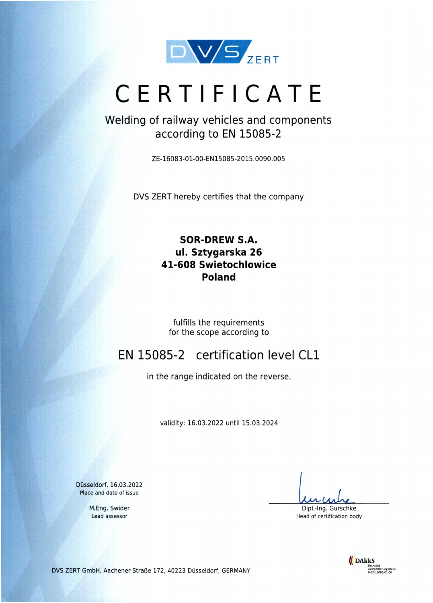

# **CERTIFICATE**

## Welding of railway vehicles and components according to **EN 15085-2**

ZE-16083-01-00-EN15085-2015.0090.005

DVS ZERT hereby certifies that the company

### **SOR-DREW S.A. ul. Sztygarska 26 41-608 Swietochlowice Poland**

fulfills the requirements for the scope according to

## EN 15085-2 certification level CLi

in the range indicated on the reverse.

validity: 16.03.2022 until 15.03.2024

Düsseldorf, 16.03.2022 Place and date of issue

> M.Eng. Swider Lead assessor

Dipl.-Ing. Gurschke Head of certification body



DVS ZERT GmbH, Aachener Straße 172, 40223 Düsseldorf, GERMANY